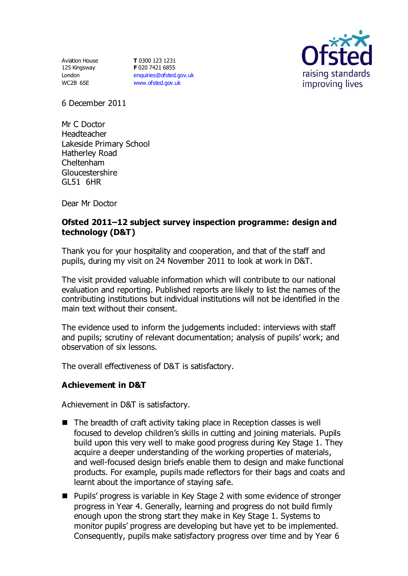Aviation House 125 Kingsway London WC2B 6SE

**T** 0300 123 1231 **F** 020 7421 6855 [enquiries@ofsted.gov.uk](mailto:enquiries@ofsted.gov.uk) [www.ofsted.gov.uk](http://www.ofsted.gov.uk/)



6 December 2011

Mr C Doctor Headteacher Lakeside Primary School Hatherley Road Cheltenham Gloucestershire GL51 6HR

Dear Mr Doctor

## **Ofsted 2011–12 subject survey inspection programme: design and technology (D&T)**

Thank you for your hospitality and cooperation, and that of the staff and pupils, during my visit on 24 November 2011 to look at work in D&T.

The visit provided valuable information which will contribute to our national evaluation and reporting. Published reports are likely to list the names of the contributing institutions but individual institutions will not be identified in the main text without their consent.

The evidence used to inform the judgements included: interviews with staff and pupils; scrutiny of relevant documentation; analysis of pupils' work; and observation of six lessons.

The overall effectiveness of D&T is satisfactory.

#### **Achievement in D&T**

Achievement in D&T is satisfactory.

- The breadth of craft activity taking place in Reception classes is well focused to develop children's skills in cutting and joining materials. Pupils build upon this very well to make good progress during Key Stage 1. They acquire a deeper understanding of the working properties of materials, and well-focused design briefs enable them to design and make functional products. For example, pupils made reflectors for their bags and coats and learnt about the importance of staying safe.
- Pupils' progress is variable in Key Stage 2 with some evidence of stronger progress in Year 4. Generally, learning and progress do not build firmly enough upon the strong start they make in Key Stage 1. Systems to monitor pupils' progress are developing but have yet to be implemented. Consequently, pupils make satisfactory progress over time and by Year 6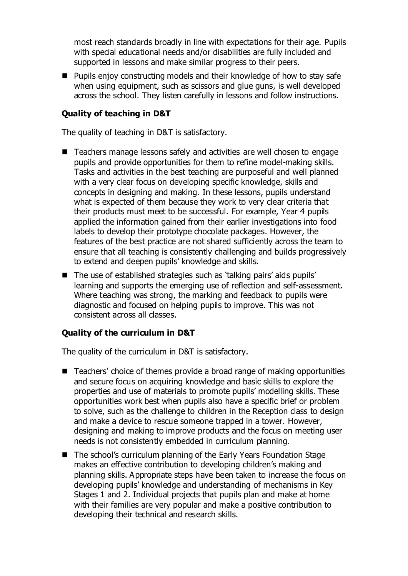most reach standards broadly in line with expectations for their age. Pupils with special educational needs and/or disabilities are fully included and supported in lessons and make similar progress to their peers.

■ Pupils enjoy constructing models and their knowledge of how to stay safe when using equipment, such as scissors and glue guns, is well developed across the school. They listen carefully in lessons and follow instructions.

## **Quality of teaching in D&T**

The quality of teaching in D&T is satisfactory.

- Teachers manage lessons safely and activities are well chosen to engage pupils and provide opportunities for them to refine model-making skills. Tasks and activities in the best teaching are purposeful and well planned with a very clear focus on developing specific knowledge, skills and concepts in designing and making. In these lessons, pupils understand what is expected of them because they work to very clear criteria that their products must meet to be successful. For example, Year 4 pupils applied the information gained from their earlier investigations into food labels to develop their prototype chocolate packages. However, the features of the best practice are not shared sufficiently across the team to ensure that all teaching is consistently challenging and builds progressively to extend and deepen pupils' knowledge and skills.
- The use of established strategies such as 'talking pairs' aids pupils' learning and supports the emerging use of reflection and self-assessment. Where teaching was strong, the marking and feedback to pupils were diagnostic and focused on helping pupils to improve. This was not consistent across all classes.

# **Quality of the curriculum in D&T**

The quality of the curriculum in D&T is satisfactory.

- Teachers' choice of themes provide a broad range of making opportunities and secure focus on acquiring knowledge and basic skills to explore the properties and use of materials to promote pupils' modelling skills. These opportunities work best when pupils also have a specific brief or problem to solve, such as the challenge to children in the Reception class to design and make a device to rescue someone trapped in a tower. However, designing and making to improve products and the focus on meeting user needs is not consistently embedded in curriculum planning.
- The school's curriculum planning of the Early Years Foundation Stage makes an effective contribution to developing children's making and planning skills. Appropriate steps have been taken to increase the focus on developing pupils' knowledge and understanding of mechanisms in Key Stages 1 and 2. Individual projects that pupils plan and make at home with their families are very popular and make a positive contribution to developing their technical and research skills.